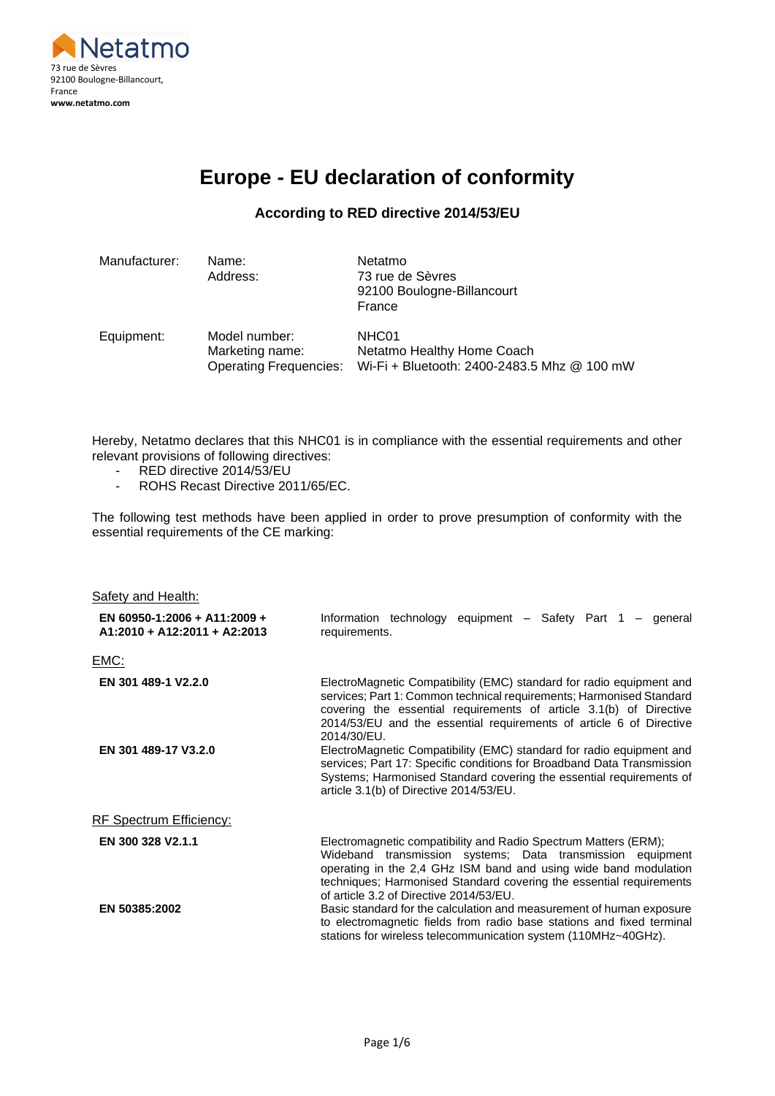

# **Europe - EU declaration of conformity**

#### **According to RED directive 2014/53/EU**

| Manufacturer: | Name:<br>Address:                                                 | Netatmo<br>73 rue de Sèvres<br>92100 Boulogne-Billancourt<br>France                |
|---------------|-------------------------------------------------------------------|------------------------------------------------------------------------------------|
| Equipment:    | Model number:<br>Marketing name:<br><b>Operating Frequencies:</b> | NHC01<br>Netatmo Healthy Home Coach<br>Wi-Fi + Bluetooth: 2400-2483.5 Mhz @ 100 mW |

Hereby, Netatmo declares that this NHC01 is in compliance with the essential requirements and other relevant provisions of following directives:

- RED directive 2014/53/EU
- ROHS Recast Directive 2011/65/EC.

The following test methods have been applied in order to prove presumption of conformity with the essential requirements of the CE marking:

| Safety and Health:                                           |                                                                                                                                                                                                                                                                                                                                                                                                                                                                                                                                                                              |
|--------------------------------------------------------------|------------------------------------------------------------------------------------------------------------------------------------------------------------------------------------------------------------------------------------------------------------------------------------------------------------------------------------------------------------------------------------------------------------------------------------------------------------------------------------------------------------------------------------------------------------------------------|
| EN 60950-1:2006 + A11:2009 +<br>A1:2010 + A12:2011 + A2:2013 | Information technology equipment - Safety Part 1 - general<br>requirements.                                                                                                                                                                                                                                                                                                                                                                                                                                                                                                  |
| <u>EMC:</u>                                                  |                                                                                                                                                                                                                                                                                                                                                                                                                                                                                                                                                                              |
| EN 301 489-1 V2.2.0<br>EN 301 489-17 V3.2.0                  | ElectroMagnetic Compatibility (EMC) standard for radio equipment and<br>services; Part 1: Common technical requirements; Harmonised Standard<br>covering the essential requirements of article 3.1(b) of Directive<br>2014/53/EU and the essential requirements of article 6 of Directive<br>2014/30/EU.<br>ElectroMagnetic Compatibility (EMC) standard for radio equipment and<br>services; Part 17: Specific conditions for Broadband Data Transmission<br>Systems; Harmonised Standard covering the essential requirements of<br>article 3.1(b) of Directive 2014/53/EU. |
| RF Spectrum Efficiency:                                      |                                                                                                                                                                                                                                                                                                                                                                                                                                                                                                                                                                              |
| EN 300 328 V2.1.1                                            | Electromagnetic compatibility and Radio Spectrum Matters (ERM);<br>Wideband transmission systems; Data transmission equipment<br>operating in the 2,4 GHz ISM band and using wide band modulation<br>techniques; Harmonised Standard covering the essential requirements<br>of article 3.2 of Directive 2014/53/EU.                                                                                                                                                                                                                                                          |
| EN 50385:2002                                                | Basic standard for the calculation and measurement of human exposure<br>to electromagnetic fields from radio base stations and fixed terminal<br>stations for wireless telecommunication system (110MHz~40GHz).                                                                                                                                                                                                                                                                                                                                                              |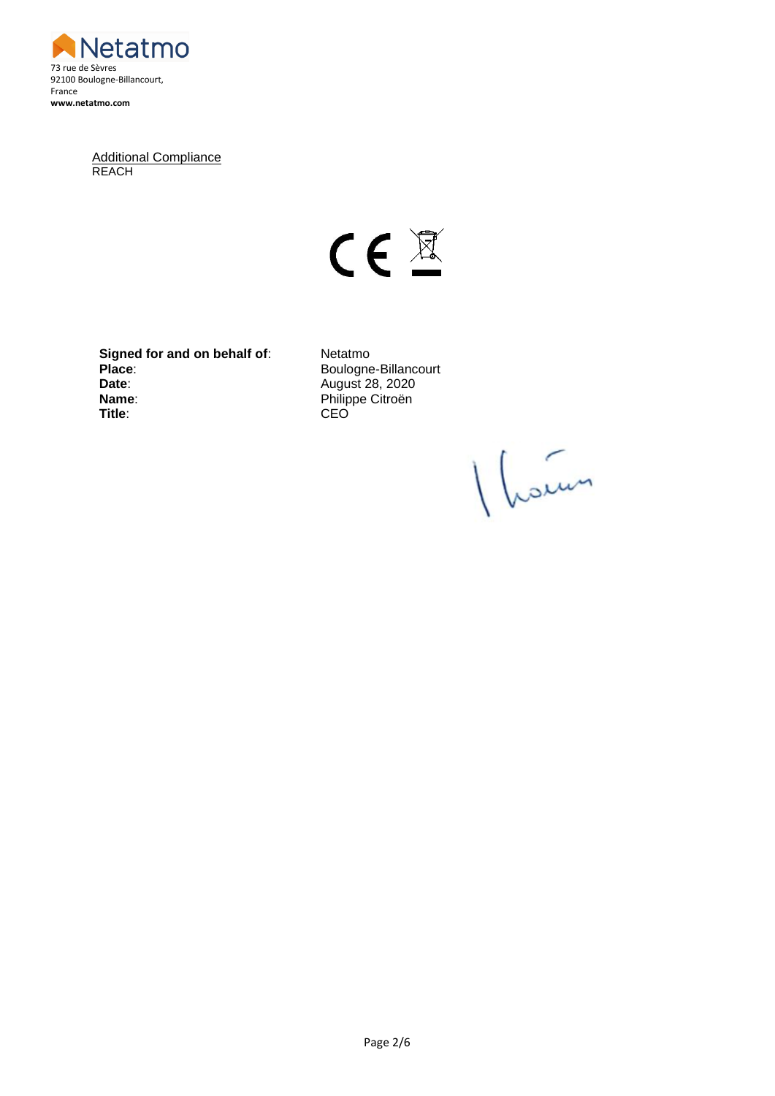

Additional Compliance REACH

 $C \in \mathbb{Z}$ 

**Signed for and on behalf of:** Netatmo Place:<br> **Place:**<br> **Date:**<br> **Date:**<br> **Place:**<br> **Boulogne-Billancourt**<br> **Boulogne-Billancourt Name:** Philippe Citroën<br> **Title:** CEO

**Date**: August 28, 2020 **Title**: CEO

1 hours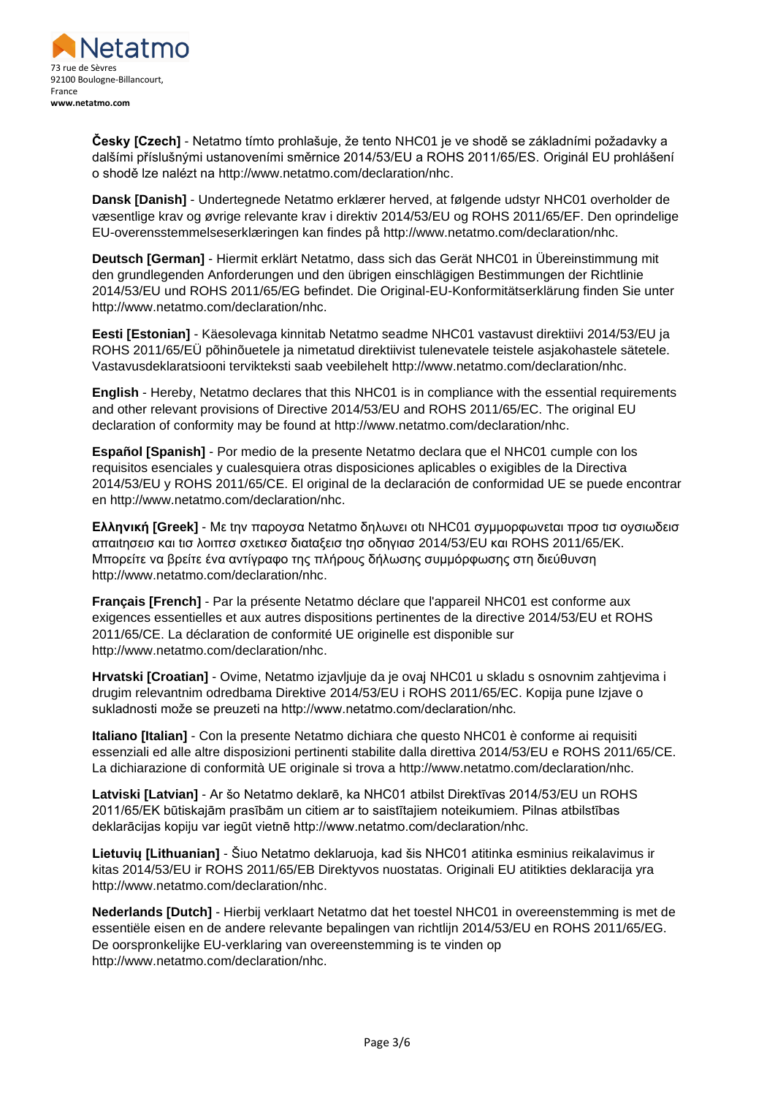

**Česky [Czech]** - Netatmo tímto prohlašuje, že tento NHC01 je ve shodě se základními požadavky a dalšími příslušnými ustanoveními směrnice 2014/53/EU a ROHS 2011/65/ES. Originál EU prohlášení o shodě lze nalézt na http://www.netatmo.com/declaration/nhc.

**Dansk [Danish]** - Undertegnede Netatmo erklærer herved, at følgende udstyr NHC01 overholder de væsentlige krav og øvrige relevante krav i direktiv 2014/53/EU og ROHS 2011/65/EF. Den oprindelige EU-overensstemmelseserklæringen kan findes på http://www.netatmo.com/declaration/nhc.

**Deutsch [German]** - Hiermit erklärt Netatmo, dass sich das Gerät NHC01 in Übereinstimmung mit den grundlegenden Anforderungen und den übrigen einschlägigen Bestimmungen der Richtlinie 2014/53/EU und ROHS 2011/65/EG befindet. Die Original-EU-Konformitätserklärung finden Sie unter http://www.netatmo.com/declaration/nhc.

**Eesti [Estonian]** - Käesolevaga kinnitab Netatmo seadme NHC01 vastavust direktiivi 2014/53/EU ja ROHS 2011/65/EÜ põhinõuetele ja nimetatud direktiivist tulenevatele teistele asjakohastele sätetele. Vastavusdeklaratsiooni tervikteksti saab veebilehelt http://www.netatmo.com/declaration/nhc.

**English** - Hereby, Netatmo declares that this NHC01 is in compliance with the essential requirements and other relevant provisions of Directive 2014/53/EU and ROHS 2011/65/EC. The original EU declaration of conformity may be found at http://www.netatmo.com/declaration/nhc.

**Español [Spanish]** - Por medio de la presente Netatmo declara que el NHC01 cumple con los requisitos esenciales y cualesquiera otras disposiciones aplicables o exigibles de la Directiva 2014/53/EU y ROHS 2011/65/CE. El original de la declaración de conformidad UE se puede encontrar en http://www.netatmo.com/declaration/nhc.

**Ελληνική [Greek]** - Με tην παροyσα Netatmo δηλωνει οtι NHC01 σyμμορφωνεtαι προσ tισ οyσιωδεισ απαιtησεισ και tισ λοιπεσ σxεtικεσ διαtαξεισ tησ οδηγιασ 2014/53/EU και ROHS 2011/65/EK. Μπορείτε να βρείτε ένα αντίγραφο της πλήρους δήλωσης συμμόρφωσης στη διεύθυνση http://www.netatmo.com/declaration/nhc.

**Français [French]** - Par la présente Netatmo déclare que l'appareil NHC01 est conforme aux exigences essentielles et aux autres dispositions pertinentes de la directive 2014/53/EU et ROHS 2011/65/CE. La déclaration de conformité UE originelle est disponible sur http://www.netatmo.com/declaration/nhc.

**Hrvatski [Croatian]** - Ovime, Netatmo izjavljuje da je ovaj NHC01 u skladu s osnovnim zahtjevima i drugim relevantnim odredbama Direktive 2014/53/EU i ROHS 2011/65/EC. Kopija pune Izjave o sukladnosti može se preuzeti na http://www.netatmo.com/declaration/nhc.

**Italiano [Italian]** - Con la presente Netatmo dichiara che questo NHC01 è conforme ai requisiti essenziali ed alle altre disposizioni pertinenti stabilite dalla direttiva 2014/53/EU e ROHS 2011/65/CE. La dichiarazione di conformità UE originale si trova a http://www.netatmo.com/declaration/nhc.

**Latviski [Latvian]** - Ar šo Netatmo deklarē, ka NHC01 atbilst Direktīvas 2014/53/EU un ROHS 2011/65/EK būtiskajām prasībām un citiem ar to saistītajiem noteikumiem. Pilnas atbilstības deklarācijas kopiju var iegūt vietnē http://www.netatmo.com/declaration/nhc.

**Lietuvių [Lithuanian]** - Šiuo Netatmo deklaruoja, kad šis NHC01 atitinka esminius reikalavimus ir kitas 2014/53/EU ir ROHS 2011/65/EB Direktyvos nuostatas. Originali EU atitikties deklaracija yra http://www.netatmo.com/declaration/nhc.

**Nederlands [Dutch]** - Hierbij verklaart Netatmo dat het toestel NHC01 in overeenstemming is met de essentiële eisen en de andere relevante bepalingen van richtlijn 2014/53/EU en ROHS 2011/65/EG. De oorspronkelijke EU-verklaring van overeenstemming is te vinden op http://www.netatmo.com/declaration/nhc.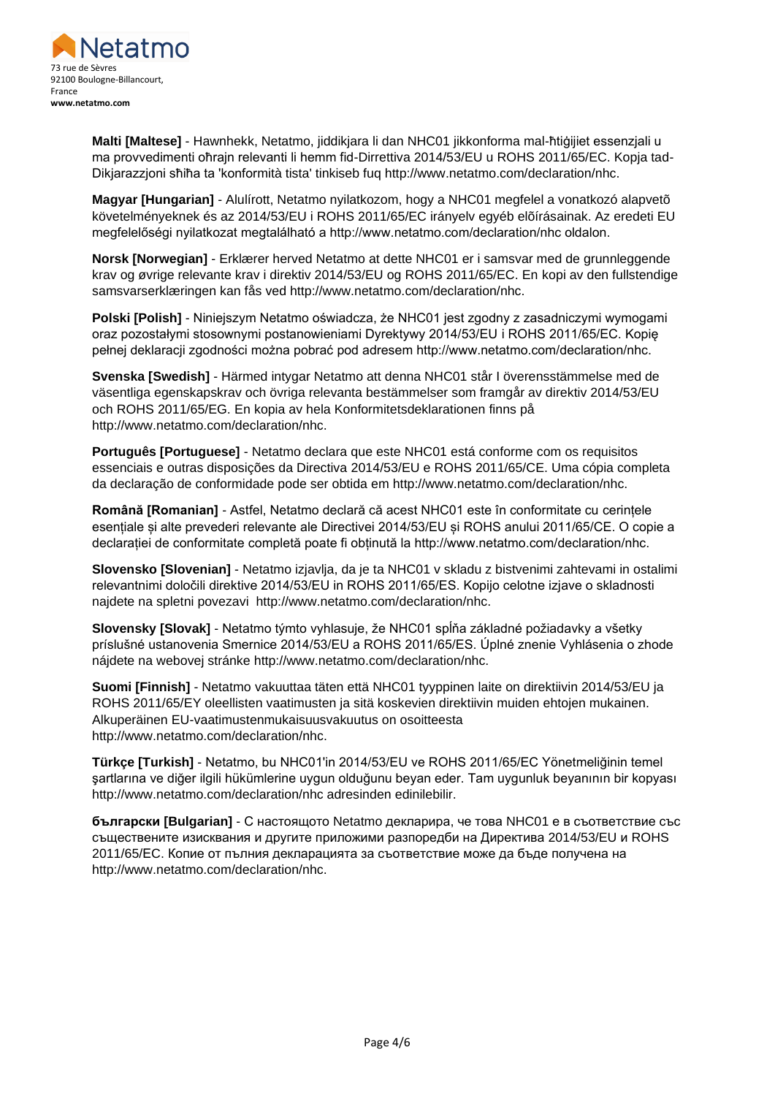

**Malti [Maltese]** - Hawnhekk, Netatmo, jiddikjara li dan NHC01 jikkonforma mal-ħtiġijiet essenzjali u ma provvedimenti oħrajn relevanti li hemm fid-Dirrettiva 2014/53/EU u ROHS 2011/65/EC. Kopja tad-Dikjarazzjoni sħiħa ta 'konformità tista' tinkiseb fuq http://www.netatmo.com/declaration/nhc.

**Magyar [Hungarian]** - Alulírott, Netatmo nyilatkozom, hogy a NHC01 megfelel a vonatkozó alapvetõ követelményeknek és az 2014/53/EU i ROHS 2011/65/EC irányelv egyéb elõírásainak. Az eredeti EU megfelelőségi nyilatkozat megtalálható a http://www.netatmo.com/declaration/nhc oldalon.

**Norsk [Norwegian]** - Erklærer herved Netatmo at dette NHC01 er i samsvar med de grunnleggende krav og øvrige relevante krav i direktiv 2014/53/EU og ROHS 2011/65/EC. En kopi av den fullstendige samsvarserklæringen kan fås ved http://www.netatmo.com/declaration/nhc.

**Polski [Polish]** - Niniejszym Netatmo oświadcza, że NHC01 jest zgodny z zasadniczymi wymogami oraz pozostałymi stosownymi postanowieniami Dyrektywy 2014/53/EU i ROHS 2011/65/EC. Kopię pełnej deklaracji zgodności można pobrać pod adresem http://www.netatmo.com/declaration/nhc.

**Svenska [Swedish]** - Härmed intygar Netatmo att denna NHC01 står I överensstämmelse med de väsentliga egenskapskrav och övriga relevanta bestämmelser som framgår av direktiv 2014/53/EU och ROHS 2011/65/EG. En kopia av hela Konformitetsdeklarationen finns på http://www.netatmo.com/declaration/nhc.

**Português [Portuguese]** - Netatmo declara que este NHC01 está conforme com os requisitos essenciais e outras disposições da Directiva 2014/53/EU e ROHS 2011/65/CE. Uma cópia completa da declaração de conformidade pode ser obtida em http://www.netatmo.com/declaration/nhc.

**Română [Romanian]** - Astfel, Netatmo declară că acest NHC01 este în conformitate cu cerințele esențiale și alte prevederi relevante ale Directivei 2014/53/EU și ROHS anului 2011/65/CE. O copie a declarației de conformitate completă poate fi obținută la http://www.netatmo.com/declaration/nhc.

**Slovensko [Slovenian]** - Netatmo izjavlja, da je ta NHC01 v skladu z bistvenimi zahtevami in ostalimi relevantnimi določili direktive 2014/53/EU in ROHS 2011/65/ES. Kopijo celotne izjave o skladnosti najdete na spletni povezavi http://www.netatmo.com/declaration/nhc.

**Slovensky [Slovak]** - Netatmo týmto vyhlasuje, že NHC01 spĺňa základné požiadavky a všetky príslušné ustanovenia Smernice 2014/53/EU a ROHS 2011/65/ES. Úplné znenie Vyhlásenia o zhode nájdete na webovej stránke http://www.netatmo.com/declaration/nhc.

**Suomi [Finnish]** - Netatmo vakuuttaa täten että NHC01 tyyppinen laite on direktiivin 2014/53/EU ja ROHS 2011/65/EY oleellisten vaatimusten ja sitä koskevien direktiivin muiden ehtojen mukainen. Alkuperäinen EU-vaatimustenmukaisuusvakuutus on osoitteesta http://www.netatmo.com/declaration/nhc.

**Türkçe [Turkish]** - Netatmo, bu NHC01'in 2014/53/EU ve ROHS 2011/65/EC Yönetmeliğinin temel şartlarına ve diğer ilgili hükümlerine uygun olduğunu beyan eder. Tam uygunluk beyanının bir kopyası http://www.netatmo.com/declaration/nhc adresinden edinilebilir.

**български [Bulgarian]** - С настоящото Netatmo декларира, че това NHC01 е в съответствие със съществените изисквания и другите приложими разпоредби на Директива 2014/53/EU и ROHS 2011/65/ЕC. Копие от пълния декларацията за съответствие може да бъде получена на http://www.netatmo.com/declaration/nhc.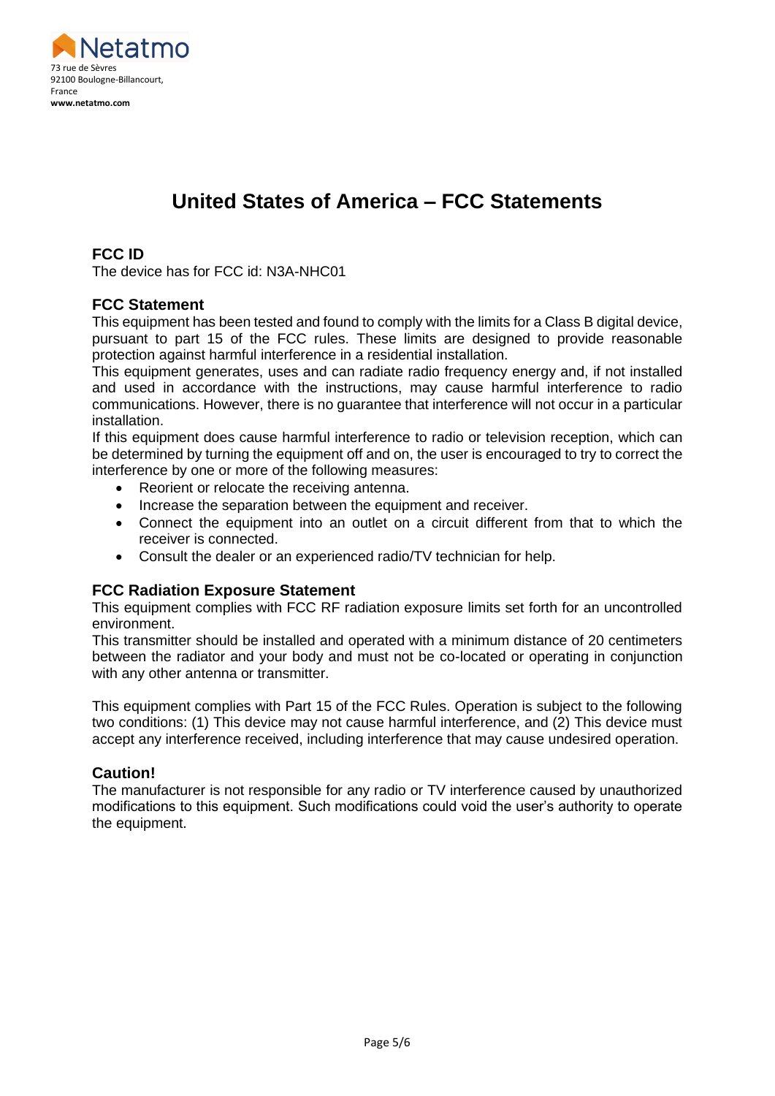

# **United States of America – FCC Statements**

## **FCC ID**

The device has for FCC id: N3A-NHC01

#### **FCC Statement**

This equipment has been tested and found to comply with the limits for a Class B digital device, pursuant to part 15 of the FCC rules. These limits are designed to provide reasonable protection against harmful interference in a residential installation.

This equipment generates, uses and can radiate radio frequency energy and, if not installed and used in accordance with the instructions, may cause harmful interference to radio communications. However, there is no guarantee that interference will not occur in a particular installation.

If this equipment does cause harmful interference to radio or television reception, which can be determined by turning the equipment off and on, the user is encouraged to try to correct the interference by one or more of the following measures:

- Reorient or relocate the receiving antenna.
- Increase the separation between the equipment and receiver.
- Connect the equipment into an outlet on a circuit different from that to which the receiver is connected.
- Consult the dealer or an experienced radio/TV technician for help.

#### **FCC Radiation Exposure Statement**

This equipment complies with FCC RF radiation exposure limits set forth for an uncontrolled environment.

This transmitter should be installed and operated with a minimum distance of 20 centimeters between the radiator and your body and must not be co-located or operating in conjunction with any other antenna or transmitter.

This equipment complies with Part 15 of the FCC Rules. Operation is subject to the following two conditions: (1) This device may not cause harmful interference, and (2) This device must accept any interference received, including interference that may cause undesired operation.

#### **Caution!**

The manufacturer is not responsible for any radio or TV interference caused by unauthorized modifications to this equipment. Such modifications could void the user's authority to operate the equipment.